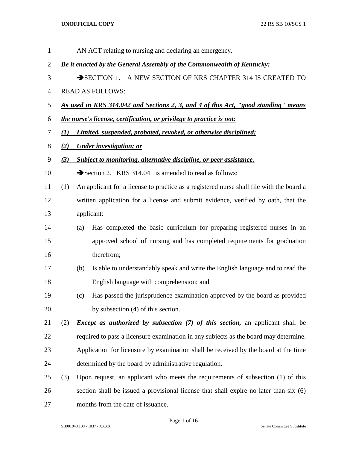| 1              |                                                                        |                                                           | AN ACT relating to nursing and declaring an emergency.                                   |  |
|----------------|------------------------------------------------------------------------|-----------------------------------------------------------|------------------------------------------------------------------------------------------|--|
| $\overline{2}$ | Be it enacted by the General Assembly of the Commonwealth of Kentucky: |                                                           |                                                                                          |  |
| 3              |                                                                        | SECTION 1. A NEW SECTION OF KRS CHAPTER 314 IS CREATED TO |                                                                                          |  |
| $\overline{4}$ |                                                                        |                                                           | <b>READ AS FOLLOWS:</b>                                                                  |  |
| 5              |                                                                        |                                                           | As used in KRS 314.042 and Sections 2, 3, and 4 of this Act, "good standing" means       |  |
| 6              |                                                                        |                                                           | the nurse's license, certification, or privilege to practice is not:                     |  |
| 7              | $\mathbf{U}$                                                           |                                                           | Limited, suspended, probated, revoked, or otherwise disciplined;                         |  |
| 8              | (2)                                                                    |                                                           | <b>Under investigation; or</b>                                                           |  |
| 9              | (3)                                                                    |                                                           | Subject to monitoring, alternative discipline, or peer assistance.                       |  |
| 10             |                                                                        |                                                           | Section 2. KRS 314.041 is amended to read as follows:                                    |  |
| 11             | (1)                                                                    |                                                           | An applicant for a license to practice as a registered nurse shall file with the board a |  |
| 12             |                                                                        |                                                           | written application for a license and submit evidence, verified by oath, that the        |  |
| 13             |                                                                        |                                                           | applicant:                                                                               |  |
| 14             |                                                                        | (a)                                                       | Has completed the basic curriculum for preparing registered nurses in an                 |  |
| 15             |                                                                        |                                                           | approved school of nursing and has completed requirements for graduation                 |  |
| 16             |                                                                        |                                                           | therefrom;                                                                               |  |
| 17             |                                                                        | (b)                                                       | Is able to understandably speak and write the English language and to read the           |  |
| 18             |                                                                        |                                                           | English language with comprehension; and                                                 |  |
| 19             |                                                                        | (c)                                                       | Has passed the jurisprudence examination approved by the board as provided               |  |
| 20             |                                                                        |                                                           | by subsection (4) of this section.                                                       |  |
| 21             | (2)                                                                    |                                                           | <i>Except as authorized by subsection (7) of this section</i> , an applicant shall be    |  |
| 22             |                                                                        |                                                           | required to pass a licensure examination in any subjects as the board may determine.     |  |
| 23             |                                                                        |                                                           | Application for licensure by examination shall be received by the board at the time      |  |
| 24             |                                                                        |                                                           | determined by the board by administrative regulation.                                    |  |
| 25             | (3)                                                                    |                                                           | Upon request, an applicant who meets the requirements of subsection (1) of this          |  |
| 26             |                                                                        |                                                           | section shall be issued a provisional license that shall expire no later than six (6)    |  |
| 27             |                                                                        |                                                           | months from the date of issuance.                                                        |  |

Page 1 of 16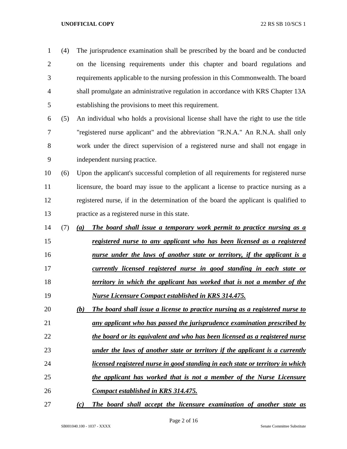| $\mathbf 1$    | (4) | The jurisprudence examination shall be prescribed by the board and be conducted      |
|----------------|-----|--------------------------------------------------------------------------------------|
| $\overline{2}$ |     | on the licensing requirements under this chapter and board regulations and           |
| 3              |     | requirements applicable to the nursing profession in this Commonwealth. The board    |
| $\overline{4}$ |     | shall promulgate an administrative regulation in accordance with KRS Chapter 13A     |
| 5              |     | establishing the provisions to meet this requirement.                                |
| 6              | (5) | An individual who holds a provisional license shall have the right to use the title  |
| 7              |     | "registered nurse applicant" and the abbreviation "R.N.A." An R.N.A. shall only      |
| 8              |     | work under the direct supervision of a registered nurse and shall not engage in      |
| 9              |     | independent nursing practice.                                                        |
| 10             | (6) | Upon the applicant's successful completion of all requirements for registered nurse  |
| 11             |     | licensure, the board may issue to the applicant a license to practice nursing as a   |
| 12             |     | registered nurse, if in the determination of the board the applicant is qualified to |
| 13             |     | practice as a registered nurse in this state.                                        |
| 14             | (7) | The board shall issue a temporary work permit to practice nursing as a<br>(a)        |
| 15             |     | registered nurse to any applicant who has been licensed as a registered              |
| 16             |     | nurse under the laws of another state or territory, if the applicant is a            |
| 17             |     | currently licensed registered nurse in good standing in each state or                |
| 18             |     | territory in which the applicant has worked that is not a member of the              |
| 19             |     | <b>Nurse Licensure Compact established in KRS 314.475.</b>                           |
| 20             |     | The board shall issue a license to practice nursing as a registered nurse to<br>(b)  |
| 21             |     | any applicant who has passed the jurisprudence examination prescribed by             |
| 22             |     | the board or its equivalent and who has been licensed as a registered nurse          |
| 23             |     | under the laws of another state or territory if the applicant is a currently         |
| 24             |     | licensed registered nurse in good standing in each state or territory in which       |
| 25             |     | the applicant has worked that is not a member of the Nurse Licensure                 |
| 26             |     | <b>Compact established in KRS 314.475.</b>                                           |
|                |     |                                                                                      |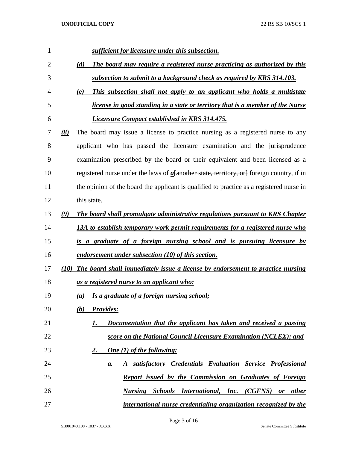| 1              | sufficient for licensure under this subsection.                                              |
|----------------|----------------------------------------------------------------------------------------------|
| $\overline{2}$ | The board may require a registered nurse practicing as authorized by this<br>(d)             |
| 3              | subsection to submit to a background check as required by KRS 314.103.                       |
| 4              | This subsection shall not apply to an applicant who holds a multistate<br>(e)                |
| 5              | <i>license in good standing in a state or territory that is a member of the Nurse</i>        |
| 6              | <b>Licensure Compact established in KRS 314.475.</b>                                         |
| 7              | The board may issue a license to practice nursing as a registered nurse to any<br>(8)        |
| 8              | applicant who has passed the licensure examination and the jurisprudence                     |
| 9              | examination prescribed by the board or their equivalent and been licensed as a               |
| 10             | registered nurse under the laws of $a$ [another state, territory, or] foreign country, if in |
| 11             | the opinion of the board the applicant is qualified to practice as a registered nurse in     |
| 12             | this state.                                                                                  |
| 13             | The board shall promulgate administrative regulations pursuant to KRS Chapter<br>(9)         |
| 14             | 13A to establish temporary work permit requirements for a registered nurse who               |
| 15             | is a graduate of a foreign nursing school and is pursuing licensure by                       |
| 16             | endorsement under subsection (10) of this section.                                           |
| 17             | (10) The board shall immediately issue a license by endorsement to practice nursing          |
| 18             | as a registered nurse to an applicant who:                                                   |
| 19             | Is a graduate of a foreign nursing school;<br>$\left( a\right)$                              |
| 20             | <b>Provides:</b><br>(b)                                                                      |
| 21             | Documentation that the applicant has taken and received a passing<br>1.                      |
| 22             | score on the National Council Licensure Examination (NCLEX); and                             |
| 23             | <b>One</b> (1) of the following:<br>2.                                                       |
| 24             | A satisfactory Credentials Evaluation Service Professional<br>а.                             |
| 25             | <b>Report issued by the Commission on Graduates of Foreign</b>                               |
| 26             | <b>Nursing Schools International, Inc. (CGFNS) or other</b>                                  |
| 27             | international nurse credentialing organization recognized by the                             |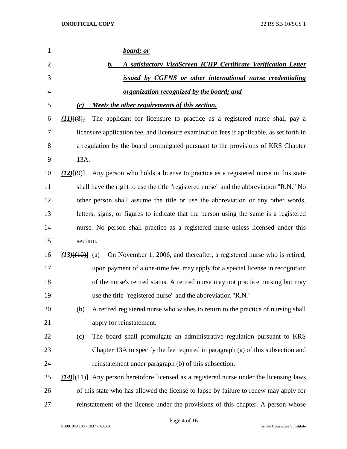| 1              |                     | board; or                                                                                       |
|----------------|---------------------|-------------------------------------------------------------------------------------------------|
| $\overline{2}$ |                     | A satisfactory VisaScreen ICHP Certificate Verification Letter<br>b.                            |
| 3              |                     | issued by CGFNS or other international nurse credentialing                                      |
| 4              |                     | <u>organization recognized by the board; and</u>                                                |
| 5              | (c)                 | Meets the other requirements of this section.                                                   |
| 6              | $(11)$ $(8)$        | The applicant for licensure to practice as a registered nurse shall pay a                       |
| 7              |                     | licensure application fee, and licensure examination fees if applicable, as set forth in        |
| 8              |                     | a regulation by the board promulgated pursuant to the provisions of KRS Chapter                 |
| 9              | 13A.                |                                                                                                 |
| 10             | $(12)$ $\{9\}$      | Any person who holds a license to practice as a registered nurse in this state                  |
| 11             |                     | shall have the right to use the title "registered nurse" and the abbreviation "R.N." No         |
| 12             |                     | other person shall assume the title or use the abbreviation or any other words,                 |
| 13             |                     | letters, signs, or figures to indicate that the person using the same is a registered           |
| 14             |                     | nurse. No person shall practice as a registered nurse unless licensed under this                |
| 15             | section.            |                                                                                                 |
| 16             | $(13)$ $(10)$ $(a)$ | On November 1, 2006, and thereafter, a registered nurse who is retired,                         |
| 17             |                     | upon payment of a one-time fee, may apply for a special license in recognition                  |
| 18             |                     | of the nurse's retired status. A retired nurse may not practice nursing but may                 |
| 19             |                     | use the title "registered nurse" and the abbreviation "R.N."                                    |
| 20             | (b)                 | A retired registered nurse who wishes to return to the practice of nursing shall                |
| 21             |                     | apply for reinstatement.                                                                        |
| 22             | (c)                 | The board shall promulgate an administrative regulation pursuant to KRS                         |
| 23             |                     | Chapter 13A to specify the fee required in paragraph (a) of this subsection and                 |
| 24             |                     | reinstatement under paragraph (b) of this subsection.                                           |
| 25             |                     | $(14)$ [ $(11)$ ] Any person heretofore licensed as a registered nurse under the licensing laws |
| 26             |                     | of this state who has allowed the license to lapse by failure to renew may apply for            |
| 27             |                     | reinstatement of the license under the provisions of this chapter. A person whose               |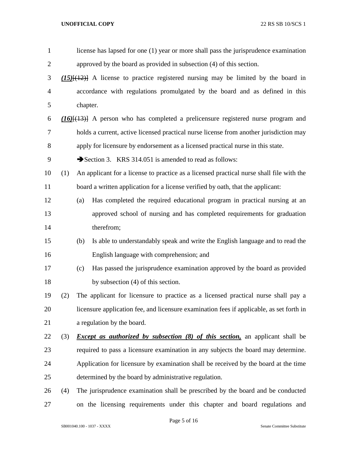| $\mathbf{1}$   |     |                                                                      | license has lapsed for one (1) year or more shall pass the jurisprudence examination     |  |
|----------------|-----|----------------------------------------------------------------------|------------------------------------------------------------------------------------------|--|
| $\overline{2}$ |     | approved by the board as provided in subsection (4) of this section. |                                                                                          |  |
| 3              |     |                                                                      | $(15)$ $(12)$ A license to practice registered nursing may be limited by the board in    |  |
| $\overline{4}$ |     |                                                                      | accordance with regulations promulgated by the board and as defined in this              |  |
| 5              |     | chapter.                                                             |                                                                                          |  |
| 6              |     |                                                                      | $(16)$ $(13)$ A person who has completed a prelicensure registered nurse program and     |  |
| 7              |     |                                                                      | holds a current, active licensed practical nurse license from another jurisdiction may   |  |
| 8              |     |                                                                      | apply for licensure by endorsement as a licensed practical nurse in this state.          |  |
| 9              |     |                                                                      | Section 3. KRS 314.051 is amended to read as follows:                                    |  |
| 10             | (1) |                                                                      | An applicant for a license to practice as a licensed practical nurse shall file with the |  |
| 11             |     |                                                                      | board a written application for a license verified by oath, that the applicant:          |  |
| 12             |     | (a)                                                                  | Has completed the required educational program in practical nursing at an                |  |
| 13             |     |                                                                      | approved school of nursing and has completed requirements for graduation                 |  |
| 14             |     |                                                                      | therefrom;                                                                               |  |
| 15             |     | (b)                                                                  | Is able to understandably speak and write the English language and to read the           |  |
| 16             |     |                                                                      | English language with comprehension; and                                                 |  |
| 17             |     | (c)                                                                  | Has passed the jurisprudence examination approved by the board as provided               |  |
| 18             |     |                                                                      | by subsection (4) of this section.                                                       |  |
| 19             | (2) |                                                                      | The applicant for licensure to practice as a licensed practical nurse shall pay a        |  |
| 20             |     |                                                                      | licensure application fee, and licensure examination fees if applicable, as set forth in |  |
| 21             |     |                                                                      | a regulation by the board.                                                               |  |
| 22             | (3) |                                                                      | <i>Except as authorized by subsection (8) of this section</i> , an applicant shall be    |  |
| 23             |     |                                                                      | required to pass a licensure examination in any subjects the board may determine.        |  |
| 24             |     |                                                                      | Application for licensure by examination shall be received by the board at the time      |  |
| 25             |     |                                                                      | determined by the board by administrative regulation.                                    |  |
| 26             | (4) |                                                                      | The jurisprudence examination shall be prescribed by the board and be conducted          |  |
| 27             |     |                                                                      | on the licensing requirements under this chapter and board regulations and               |  |

Page 5 of 16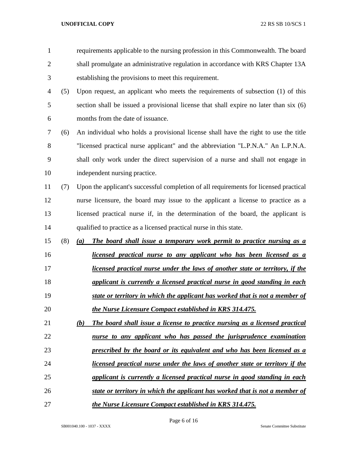| $\mathbf{1}$   |     | requirements applicable to the nursing profession in this Commonwealth. The board     |
|----------------|-----|---------------------------------------------------------------------------------------|
| $\overline{2}$ |     | shall promulgate an administrative regulation in accordance with KRS Chapter 13A      |
| 3              |     | establishing the provisions to meet this requirement.                                 |
| $\overline{4}$ | (5) | Upon request, an applicant who meets the requirements of subsection (1) of this       |
| 5              |     | section shall be issued a provisional license that shall expire no later than six (6) |
| 6              |     | months from the date of issuance.                                                     |
| 7              | (6) | An individual who holds a provisional license shall have the right to use the title   |
| $8\,$          |     | "licensed practical nurse applicant" and the abbreviation "L.P.N.A." An L.P.N.A.      |
| 9              |     | shall only work under the direct supervision of a nurse and shall not engage in       |
| 10             |     | independent nursing practice.                                                         |
| 11             | (7) | Upon the applicant's successful completion of all requirements for licensed practical |
| 12             |     | nurse licensure, the board may issue to the applicant a license to practice as a      |
| 13             |     | licensed practical nurse if, in the determination of the board, the applicant is      |
| 14             |     | qualified to practice as a licensed practical nurse in this state.                    |
| 15             | (8) | The board shall issue a temporary work permit to practice nursing as a<br>(a)         |
| 16             |     | <u>licensed practical nurse to any applicant who has been licensed as a</u>           |
| 17             |     | <i>licensed practical nurse under the laws of another state or territory, if the</i>  |
| 18             |     | applicant is currently a licensed practical nurse in good standing in each            |
| 19             |     | state or territory in which the applicant has worked that is not a member of          |
| 20             |     | the Nurse Licensure Compact established in KRS 314.475.                               |
| 21             |     | The board shall issue a license to practice nursing as a licensed practical<br>(b)    |
| 22             |     | nurse to any applicant who has passed the jurisprudence examination                   |
| 23             |     | prescribed by the board or its equivalent and who has been licensed as a              |
| 24             |     | licensed practical nurse under the laws of another state or territory if the          |
| 25             |     | applicant is currently a licensed practical nurse in good standing in each            |
| 26             |     | state or territory in which the applicant has worked that is not a member of          |
| 27             |     | the Nurse Licensure Compact established in KRS 314.475.                               |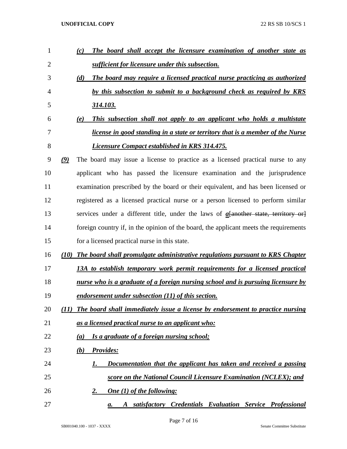| 1              | (c)                                                                                             | The board shall accept the licensure examination of another state as                  |
|----------------|-------------------------------------------------------------------------------------------------|---------------------------------------------------------------------------------------|
| $\overline{2}$ | sufficient for licensure under this subsection.                                                 |                                                                                       |
| 3              | (d)                                                                                             | The board may require a licensed practical nurse practicing as authorized             |
| 4              |                                                                                                 | by this subsection to submit to a background check as required by KRS                 |
| 5              | <u>314.103.</u>                                                                                 |                                                                                       |
| 6              | (e)                                                                                             | This subsection shall not apply to an applicant who holds a multistate                |
| 7              |                                                                                                 | <i>license in good standing in a state or territory that is a member of the Nurse</i> |
| 8              | <b>Licensure Compact established in KRS 314.475.</b>                                            |                                                                                       |
| 9              | The board may issue a license to practice as a licensed practical nurse to any<br>$\mathcal{Q}$ |                                                                                       |
| 10             | applicant who has passed the licensure examination and the jurisprudence                        |                                                                                       |
| 11             | examination prescribed by the board or their equivalent, and has been licensed or               |                                                                                       |
| 12             | registered as a licensed practical nurse or a person licensed to perform similar                |                                                                                       |
| 13             |                                                                                                 | services under a different title, under the laws of $a$ [another state, territory or] |
| 14             | foreign country if, in the opinion of the board, the applicant meets the requirements           |                                                                                       |
| 15             | for a licensed practical nurse in this state.                                                   |                                                                                       |
| 16             | (10) The board shall promulgate administrative regulations pursuant to KRS Chapter              |                                                                                       |
| 17             | 13A to establish temporary work permit requirements for a licensed practical                    |                                                                                       |
| 18             | <u>nurse who is a graduate of a foreign nursing school and is pursuing licensure by</u>         |                                                                                       |
| 19             | endorsement under subsection (11) of this section.                                              |                                                                                       |
| 20             | The board shall immediately issue a license by endorsement to practice nursing<br>(11)          |                                                                                       |
| 21             | as a licensed practical nurse to an applicant who:                                              |                                                                                       |
| 22             | Is a graduate of a foreign nursing school;<br>(a)                                               |                                                                                       |
| 23             | <b>Provides:</b><br>(b)                                                                         |                                                                                       |
| 24             | 1.                                                                                              | Documentation that the applicant has taken and received a passing                     |
| 25             |                                                                                                 | score on the National Council Licensure Examination (NCLEX); and                      |
| 26             | <b>One</b> (1) of the following:<br><u>2.</u>                                                   |                                                                                       |
| 27             | a.                                                                                              | satisfactory Credentials Evaluation Service Professional                              |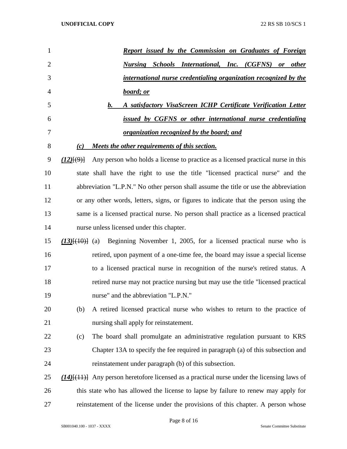| $\mathbf{1}$   | Report issued by the Commission on Graduates of Foreign                                           |
|----------------|---------------------------------------------------------------------------------------------------|
| $\overline{2}$ | <b>Nursing Schools International, Inc. (CGFNS) or other</b>                                       |
| 3              | international nurse credentialing organization recognized by the                                  |
| 4              | board; or                                                                                         |
| 5              | A satisfactory VisaScreen ICHP Certificate Verification Letter<br>b.                              |
| 6              | issued by CGFNS or other international nurse credentialing                                        |
| 7              | <u>organization recognized by the board; and</u>                                                  |
| 8              | Meets the other requirements of this section.<br>(c)                                              |
| 9              | Any person who holds a license to practice as a licensed practical nurse in this<br>(12)(9)       |
| 10             | state shall have the right to use the title "licensed practical nurse" and the                    |
| 11             | abbreviation "L.P.N." No other person shall assume the title or use the abbreviation              |
| 12             | or any other words, letters, signs, or figures to indicate that the person using the              |
| 13             | same is a licensed practical nurse. No person shall practice as a licensed practical              |
| 14             | nurse unless licensed under this chapter.                                                         |
| 15             | Beginning November 1, 2005, for a licensed practical nurse who is<br>$(13)$ $\{40\}$ (a)          |
| 16             | retired, upon payment of a one-time fee, the board may issue a special license                    |
| 17             | to a licensed practical nurse in recognition of the nurse's retired status. A                     |
| 18             | retired nurse may not practice nursing but may use the title "licensed practical"                 |
| 19             | nurse" and the abbreviation "L.P.N."                                                              |
| 20             | A retired licensed practical nurse who wishes to return to the practice of<br>(b)                 |
| 21             | nursing shall apply for reinstatement.                                                            |
| 22             | The board shall promulgate an administrative regulation pursuant to KRS<br>(c)                    |
| 23             | Chapter 13A to specify the fee required in paragraph (a) of this subsection and                   |
| 24             | reinstatement under paragraph (b) of this subsection.                                             |
| 25             | $(14)$ [ $(11)$ ] Any person heretofore licensed as a practical nurse under the licensing laws of |
| 26             | this state who has allowed the license to lapse by failure to renew may apply for                 |
| 27             | reinstatement of the license under the provisions of this chapter. A person whose                 |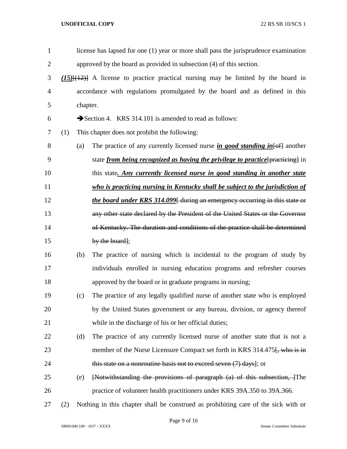| $\mathbf{1}$   |                                                                                      |          | license has lapsed for one (1) year or more shall pass the jurisprudence examination   |
|----------------|--------------------------------------------------------------------------------------|----------|----------------------------------------------------------------------------------------|
| $\overline{2}$ |                                                                                      |          | approved by the board as provided in subsection (4) of this section.                   |
| 3              | $(15)$ $(12)$ A license to practice practical nursing may be limited by the board in |          |                                                                                        |
| $\overline{4}$ |                                                                                      |          | accordance with regulations promulgated by the board and as defined in this            |
| 5              |                                                                                      | chapter. |                                                                                        |
| 6              |                                                                                      |          | Section 4. KRS 314.101 is amended to read as follows:                                  |
| 7              | (1)                                                                                  |          | This chapter does not prohibit the following:                                          |
| 8              |                                                                                      | (a)      | The practice of any currently licensed nurse in good standing in $[6f]$ another        |
| 9              |                                                                                      |          | state <i>from being recognized as having the privilege to practice</i> [practicing] in |
| 10             |                                                                                      |          | this state. Any currently licensed nurse in good standing in another state             |
| 11             |                                                                                      |          | who is practicing nursing in Kentucky shall be subject to the jurisdiction of          |
| 12             |                                                                                      |          | <i>the board under KRS 314.099</i> during an emergency occurring in this state or      |
| 13             |                                                                                      |          | any other state declared by the President of the United States or the Governor         |
| 14             |                                                                                      |          | of Kentucky. The duration and conditions of the practice shall be determined           |
| 15             |                                                                                      |          | by the board];                                                                         |
| 16             |                                                                                      | (b)      | The practice of nursing which is incidental to the program of study by                 |
| 17             |                                                                                      |          | individuals enrolled in nursing education programs and refresher courses               |
| 18             |                                                                                      |          | approved by the board or in graduate programs in nursing;                              |
| 19             |                                                                                      | (c)      | The practice of any legally qualified nurse of another state who is employed           |
| 20             |                                                                                      |          | by the United States government or any bureau, division, or agency thereof             |
| 21             |                                                                                      |          | while in the discharge of his or her official duties;                                  |
| 22             |                                                                                      | (d)      | The practice of any currently licensed nurse of another state that is not a            |
| 23             |                                                                                      |          | member of the Nurse Licensure Compact set forth in KRS 314.475. who is in              |
| 24             |                                                                                      |          | this state on a nonroutine basis not to exceed seven (7) days]; or                     |
| 25             |                                                                                      | (e)      | [Notwithstanding the provisions of paragraph (a) of this subsection, 1 The             |
| 26             |                                                                                      |          | practice of volunteer health practitioners under KRS 39A.350 to 39A.366.               |
| 27             | (2)                                                                                  |          | Nothing in this chapter shall be construed as prohibiting care of the sick with or     |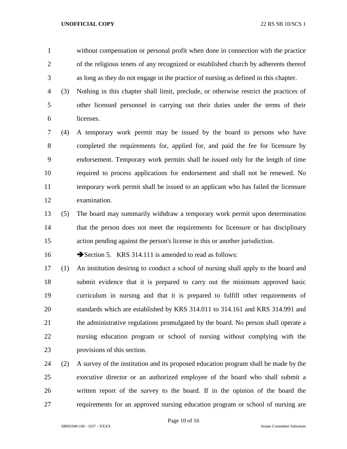without compensation or personal profit when done in connection with the practice of the religious tenets of any recognized or established church by adherents thereof as long as they do not engage in the practice of nursing as defined in this chapter.

 (3) Nothing in this chapter shall limit, preclude, or otherwise restrict the practices of other licensed personnel in carrying out their duties under the terms of their licenses.

 (4) A temporary work permit may be issued by the board to persons who have completed the requirements for, applied for, and paid the fee for licensure by endorsement. Temporary work permits shall be issued only for the length of time required to process applications for endorsement and shall not be renewed. No temporary work permit shall be issued to an applicant who has failed the licensure examination.

 (5) The board may summarily withdraw a temporary work permit upon determination that the person does not meet the requirements for licensure or has disciplinary action pending against the person's license in this or another jurisdiction.

16 Section 5. KRS 314.111 is amended to read as follows:

 (1) An institution desiring to conduct a school of nursing shall apply to the board and submit evidence that it is prepared to carry out the minimum approved basic curriculum in nursing and that it is prepared to fulfill other requirements of standards which are established by KRS 314.011 to 314.161 and KRS 314.991 and the administrative regulations promulgated by the board. No person shall operate a nursing education program or school of nursing without complying with the provisions of this section.

 (2) A survey of the institution and its proposed education program shall be made by the executive director or an authorized employee of the board who shall submit a written report of the survey to the board. If in the opinion of the board the requirements for an approved nursing education program or school of nursing are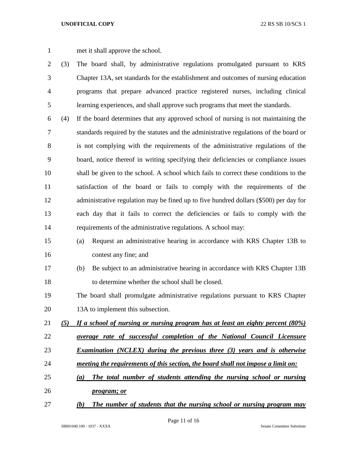met it shall approve the school.

- (3) The board shall, by administrative regulations promulgated pursuant to KRS Chapter 13A, set standards for the establishment and outcomes of nursing education programs that prepare advanced practice registered nurses, including clinical learning experiences, and shall approve such programs that meet the standards.
- (4) If the board determines that any approved school of nursing is not maintaining the standards required by the statutes and the administrative regulations of the board or is not complying with the requirements of the administrative regulations of the board, notice thereof in writing specifying their deficiencies or compliance issues shall be given to the school. A school which fails to correct these conditions to the satisfaction of the board or fails to comply with the requirements of the administrative regulation may be fined up to five hundred dollars (\$500) per day for each day that it fails to correct the deficiencies or fails to comply with the requirements of the administrative regulations. A school may:
- (a) Request an administrative hearing in accordance with KRS Chapter 13B to contest any fine; and
- (b) Be subject to an administrative hearing in accordance with KRS Chapter 13B to determine whether the school shall be closed.
- The board shall promulgate administrative regulations pursuant to KRS Chapter 20 13A to implement this subsection.
- *(5) If a school of nursing or nursing program has at least an eighty percent (80%)*
- *average rate of successful completion of the National Council Licensure*
- *Examination (NCLEX) during the previous three (3) years and is otherwise*
- *meeting the requirements of this section, the board shall not impose a limit on:*
- *(a) The total number of students attending the nursing school or nursing*
- *program; or*
- *(b) The number of students that the nursing school or nursing program may*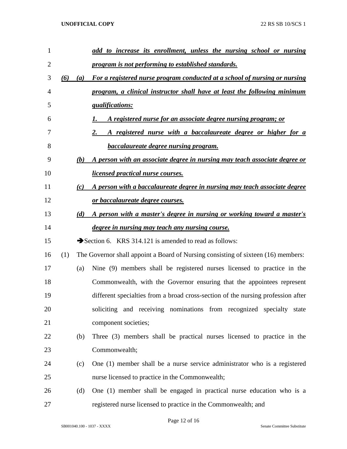| 1              |     |     | add to increase its enrollment, unless the nursing school or nursing              |
|----------------|-----|-----|-----------------------------------------------------------------------------------|
| $\overline{2}$ |     |     | program is not performing to established standards.                               |
| 3              | (6) | (a) | For a registered nurse program conducted at a school of nursing or nursing        |
| 4              |     |     | program, a clinical instructor shall have at least the following minimum          |
| 5              |     |     | <i><u><b>gualifications:</b></u></i>                                              |
| 6              |     |     | A registered nurse for an associate degree nursing program; or                    |
| 7              |     |     | A registered nurse with a baccalaureate degree or higher for a<br>2.              |
| 8              |     |     | <b>baccalaureate degree nursing program.</b>                                      |
| 9              |     | (b) | A person with an associate degree in nursing may teach associate degree or        |
| 10             |     |     | <u>licensed practical nurse courses.</u>                                          |
| 11             |     | (c) | A person with a baccalaureate degree in nursing may teach associate degree        |
| 12             |     |     | or baccalaureate degree courses.                                                  |
| 13             |     | (d) | A person with a master's degree in nursing or working toward a master's           |
| 14             |     |     | degree in nursing may teach any nursing course.                                   |
| 15             |     |     | Section 6. KRS 314.121 is amended to read as follows:                             |
| 16             | (1) |     | The Governor shall appoint a Board of Nursing consisting of sixteen (16) members: |
| 17             |     | (a) | Nine (9) members shall be registered nurses licensed to practice in the           |
| 18             |     |     | Commonwealth, with the Governor ensuring that the appointees represent            |
| 19             |     |     | different specialties from a broad cross-section of the nursing profession after  |
| 20             |     |     | soliciting and receiving nominations from recognized specialty state              |
| 21             |     |     | component societies;                                                              |
| 22             |     | (b) | Three (3) members shall be practical nurses licensed to practice in the           |
| 23             |     |     | Commonwealth;                                                                     |
| 24             |     | (c) | One (1) member shall be a nurse service administrator who is a registered         |
| 25             |     |     | nurse licensed to practice in the Commonwealth;                                   |
| 26             |     | (d) | One (1) member shall be engaged in practical nurse education who is a             |
| 27             |     |     | registered nurse licensed to practice in the Commonwealth; and                    |

Page 12 of 16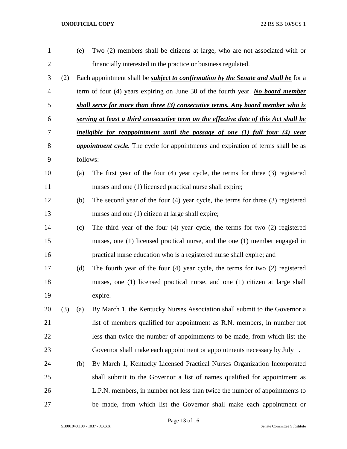| $\mathbf{1}$   |     | (e)      | Two (2) members shall be citizens at large, who are not associated with or                |
|----------------|-----|----------|-------------------------------------------------------------------------------------------|
| $\overline{c}$ |     |          | financially interested in the practice or business regulated.                             |
| 3              | (2) |          | Each appointment shall be <i>subject to confirmation by the Senate and shall be</i> for a |
| 4              |     |          | term of four $(4)$ years expiring on June 30 of the fourth year. No board member          |
| 5              |     |          | shall serve for more than three (3) consecutive terms. Any board member who is            |
| 6              |     |          | serving at least a third consecutive term on the effective date of this Act shall be      |
| 7              |     |          | ineligible for reappointment until the passage of one (1) full four (4) year              |
| 8              |     |          | <i>appointment cycle</i> . The cycle for appointments and expiration of terms shall be as |
| 9              |     | follows: |                                                                                           |
| 10             |     | (a)      | The first year of the four (4) year cycle, the terms for three (3) registered             |
| 11             |     |          | nurses and one (1) licensed practical nurse shall expire;                                 |
| 12             |     | (b)      | The second year of the four $(4)$ year cycle, the terms for three $(3)$ registered        |
| 13             |     |          | nurses and one (1) citizen at large shall expire;                                         |
| 14             |     | (c)      | The third year of the four $(4)$ year cycle, the terms for two $(2)$ registered           |
| 15             |     |          | nurses, one (1) licensed practical nurse, and the one (1) member engaged in               |
| 16             |     |          | practical nurse education who is a registered nurse shall expire; and                     |
| 17             |     | (d)      | The fourth year of the four $(4)$ year cycle, the terms for two $(2)$ registered          |
| 18             |     |          | nurses, one (1) licensed practical nurse, and one (1) citizen at large shall              |
| 19             |     |          | expire.                                                                                   |
| 20             | (3) | (a)      | By March 1, the Kentucky Nurses Association shall submit to the Governor a                |
| 21             |     |          | list of members qualified for appointment as R.N. members, in number not                  |
| 22             |     |          | less than twice the number of appointments to be made, from which list the                |
| 23             |     |          | Governor shall make each appointment or appointments necessary by July 1.                 |
| 24             |     | (b)      | By March 1, Kentucky Licensed Practical Nurses Organization Incorporated                  |
| 25             |     |          | shall submit to the Governor a list of names qualified for appointment as                 |
| 26             |     |          | L.P.N. members, in number not less than twice the number of appointments to               |
| 27             |     |          | be made, from which list the Governor shall make each appointment or                      |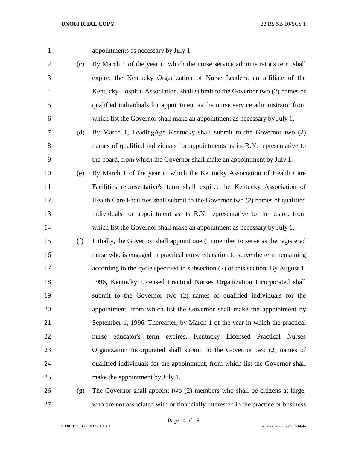appointments as necessary by July 1.

- (c) By March 1 of the year in which the nurse service administrator's term shall expire, the Kentucky Organization of Nurse Leaders, an affiliate of the Kentucky Hospital Association, shall submit to the Governor two (2) names of qualified individuals for appointment as the nurse service administrator from which list the Governor shall make an appointment as necessary by July 1.
- (d) By March 1, LeadingAge Kentucky shall submit to the Governor two (2) names of qualified individuals for appointments as its R.N. representative to the board, from which the Governor shall make an appointment by July 1.
- (e) By March 1 of the year in which the Kentucky Association of Health Care Facilities representative's term shall expire, the Kentucky Association of Health Care Facilities shall submit to the Governor two (2) names of qualified individuals for appointment as its R.N. representative to the board, from 14 which list the Governor shall make an appointment as necessary by July 1.
- (f) Initially, the Governor shall appoint one (1) member to serve as the registered nurse who is engaged in practical nurse education to serve the term remaining according to the cycle specified in subsection (2) of this section. By August 1, 1996, Kentucky Licensed Practical Nurses Organization Incorporated shall submit to the Governor two (2) names of qualified individuals for the appointment, from which list the Governor shall make the appointment by September 1, 1996. Thereafter, by March 1 of the year in which the practical nurse educator's term expires, Kentucky Licensed Practical Nurses Organization Incorporated shall submit to the Governor two (2) names of qualified individuals for the appointment, from which list the Governor shall make the appointment by July 1.
- (g) The Governor shall appoint two (2) members who shall be citizens at large, who are not associated with or financially interested in the practice or business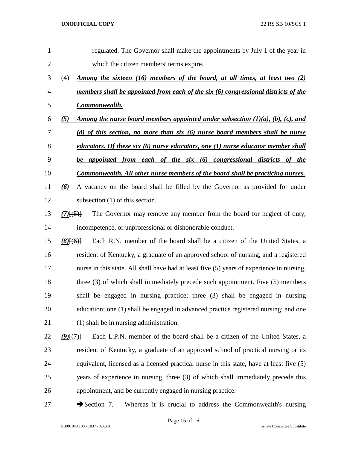| $\mathbf{1}$   | regulated. The Governor shall make the appointments by July 1 of the year in                                                        |
|----------------|-------------------------------------------------------------------------------------------------------------------------------------|
| $\overline{2}$ | which the citizen members' terms expire.                                                                                            |
| 3              | (4)<br><u>Among the sixteen (16) members of the board, at all times, at least two (2)</u>                                           |
| 4              | members shall be appointed from each of the six (6) congressional districts of the                                                  |
| 5              | Commonwealth.                                                                                                                       |
| 6              | <u>Among the nurse board members appointed under subsection <math>(1)(a)</math>, <math>(b)</math>, <math>(c)</math>, and</u><br>(5) |
| 7              | (d) of this section, no more than six (6) nurse board members shall be nurse                                                        |
| 8              | educators. Of these six (6) nurse educators, one (1) nurse educator member shall                                                    |
| 9              | be appointed from each of the six (6) congressional districts of the                                                                |
| 10             | <u>Commonwealth. All other nurse members of the board shall be practicing nurses.</u>                                               |
| 11             | A vacancy on the board shall be filled by the Governor as provided for under<br>(6)                                                 |
| 12             | subsection $(1)$ of this section.                                                                                                   |
| 13             | The Governor may remove any member from the board for neglect of duty,<br>$(7)$ $(5)$ }                                             |
| 14             | incompetence, or unprofessional or dishonorable conduct.                                                                            |
| 15             | Each R.N. member of the board shall be a citizen of the United States, a<br>$(8)$ $(6)$ }                                           |
| 16             | resident of Kentucky, a graduate of an approved school of nursing, and a registered                                                 |
| 17             | nurse in this state. All shall have had at least five (5) years of experience in nursing,                                           |
| 18             | three $(3)$ of which shall immediately precede such appointment. Five $(5)$ members                                                 |
| 19             | shall be engaged in nursing practice; three (3) shall be engaged in nursing                                                         |
| 20             | education; one (1) shall be engaged in advanced practice registered nursing; and one                                                |
| 21             | (1) shall be in nursing administration.                                                                                             |
| 22             | Each L.P.N. member of the board shall be a citizen of the United States, a<br>(9)(7)                                                |
| 23             | resident of Kentucky, a graduate of an approved school of practical nursing or its                                                  |
| 24             | equivalent, licensed as a licensed practical nurse in this state, have at least five (5)                                            |
| 25             | years of experience in nursing, three (3) of which shall immediately precede this                                                   |
| 26             | appointment, and be currently engaged in nursing practice.                                                                          |
|                |                                                                                                                                     |

27 Section 7. Whereas it is crucial to address the Commonwealth's nursing

Page 15 of 16